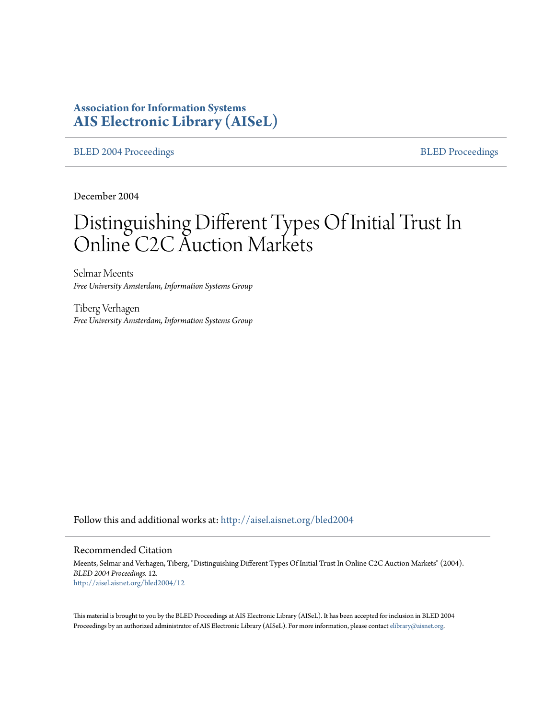# **Association for Information Systems [AIS Electronic Library \(AISeL\)](http://aisel.aisnet.org?utm_source=aisel.aisnet.org%2Fbled2004%2F12&utm_medium=PDF&utm_campaign=PDFCoverPages)**

[BLED 2004 Proceedings](http://aisel.aisnet.org/bled2004?utm_source=aisel.aisnet.org%2Fbled2004%2F12&utm_medium=PDF&utm_campaign=PDFCoverPages) **[BLED Proceedings](http://aisel.aisnet.org/bled?utm_source=aisel.aisnet.org%2Fbled2004%2F12&utm_medium=PDF&utm_campaign=PDFCoverPages)** 

December 2004

# Distinguishing Different Types Of Initial Trust In Online C2C Auction Markets

Selmar Meents *Free University Amsterdam, Information Systems Group*

Tiberg Verhagen *Free University Amsterdam, Information Systems Group*

Follow this and additional works at: [http://aisel.aisnet.org/bled2004](http://aisel.aisnet.org/bled2004?utm_source=aisel.aisnet.org%2Fbled2004%2F12&utm_medium=PDF&utm_campaign=PDFCoverPages)

#### Recommended Citation

Meents, Selmar and Verhagen, Tiberg, "Distinguishing Different Types Of Initial Trust In Online C2C Auction Markets" (2004). *BLED 2004 Proceedings*. 12. [http://aisel.aisnet.org/bled2004/12](http://aisel.aisnet.org/bled2004/12?utm_source=aisel.aisnet.org%2Fbled2004%2F12&utm_medium=PDF&utm_campaign=PDFCoverPages)

This material is brought to you by the BLED Proceedings at AIS Electronic Library (AISeL). It has been accepted for inclusion in BLED 2004 Proceedings by an authorized administrator of AIS Electronic Library (AISeL). For more information, please contact [elibrary@aisnet.org](mailto:elibrary@aisnet.org%3E).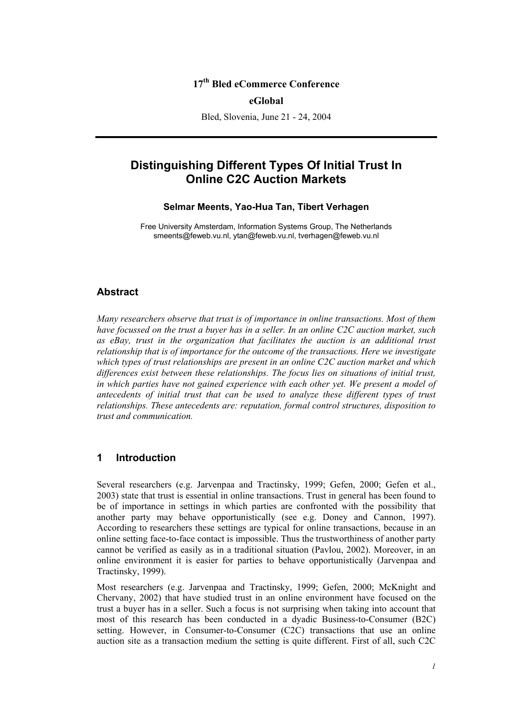# **17th Bled eCommerce Conference**

#### **eGlobal**

Bled, Slovenia, June 21 - 24, 2004

# **Distinguishing Different Types Of Initial Trust In Online C2C Auction Markets**

#### **Selmar Meents, Yao-Hua Tan, Tibert Verhagen**

Free University Amsterdam, Information Systems Group, The Netherlands smeents@feweb.vu.nl, ytan@feweb.vu.nl, tverhagen@feweb.vu.nl

#### **Abstract**

*Many researchers observe that trust is of importance in online transactions. Most of them have focussed on the trust a buyer has in a seller. In an online C2C auction market, such*  as eBay, trust in the organization that facilitates the auction is an additional trust *relationship that is of importance for the outcome of the transactions. Here we investigate which types of trust relationships are present in an online C2C auction market and which differences exist between these relationships. The focus lies on situations of initial trust, in which parties have not gained experience with each other yet. We present a model of antecedents of initial trust that can be used to analyze these different types of trust relationships. These antecedents are: reputation, formal control structures, disposition to trust and communication.*

#### **1 Introduction**

Several researchers (e.g. Jarvenpaa and Tractinsky, 1999; Gefen, 2000; Gefen et al., 2003) state that trust is essential in online transactions. Trust in general has been found to be of importance in settings in which parties are confronted with the possibility that another party may behave opportunistically (see e.g. Doney and Cannon, 1997). According to researchers these settings are typical for online transactions, because in an online setting face-to-face contact is impossible. Thus the trustworthiness of another party cannot be verified as easily as in a traditional situation (Pavlou, 2002). Moreover, in an online environment it is easier for parties to behave opportunistically (Jarvenpaa and Tractinsky, 1999).

Most researchers (e.g. Jarvenpaa and Tractinsky, 1999; Gefen, 2000; McKnight and Chervany, 2002) that have studied trust in an online environment have focused on the trust a buyer has in a seller. Such a focus is not surprising when taking into account that most of this research has been conducted in a dyadic Business-to-Consumer (B2C) setting. However, in Consumer-to-Consumer (C2C) transactions that use an online auction site as a transaction medium the setting is quite different. First of all, such C2C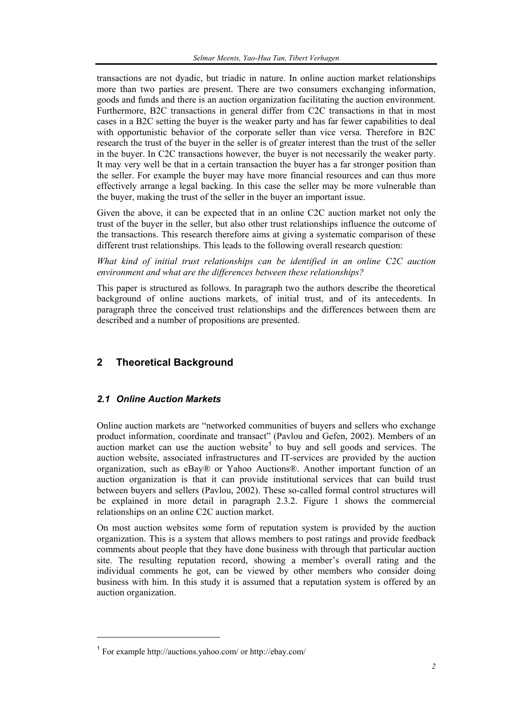transactions are not dyadic, but triadic in nature. In online auction market relationships more than two parties are present. There are two consumers exchanging information, goods and funds and there is an auction organization facilitating the auction environment. Furthermore, B2C transactions in general differ from C2C transactions in that in most cases in a B2C setting the buyer is the weaker party and has far fewer capabilities to deal with opportunistic behavior of the corporate seller than vice versa. Therefore in B2C research the trust of the buyer in the seller is of greater interest than the trust of the seller in the buyer. In C2C transactions however, the buyer is not necessarily the weaker party. It may very well be that in a certain transaction the buyer has a far stronger position than the seller. For example the buyer may have more financial resources and can thus more effectively arrange a legal backing. In this case the seller may be more vulnerable than the buyer, making the trust of the seller in the buyer an important issue.

Given the above, it can be expected that in an online C2C auction market not only the trust of the buyer in the seller, but also other trust relationships influence the outcome of the transactions. This research therefore aims at giving a systematic comparison of these different trust relationships. This leads to the following overall research question:

*What kind of initial trust relationships can be identified in an online C2C auction environment and what are the differences between these relationships?* 

This paper is structured as follows. In paragraph two the authors describe the theoretical background of online auctions markets, of initial trust, and of its antecedents. In paragraph three the conceived trust relationships and the differences between them are described and a number of propositions are presented.

# **2 Theoretical Background**

## *2.1 Online Auction Markets*

Online auction markets are "networked communities of buyers and sellers who exchange product information, coordinate and transact" (Pavlou and Gefen, 2002). Members of an auction market can use the auction website<sup>1</sup> to buy and sell goods and services. The auction website, associated infrastructures and IT-services are provided by the auction organization, such as eBay® or Yahoo Auctions®. Another important function of an auction organization is that it can provide institutional services that can build trust between buyers and sellers (Pavlou, 2002). These so-called formal control structures will be explained in more detail in paragraph 2.3.2. Figure 1 shows the commercial relationships on an online C2C auction market.

On most auction websites some form of reputation system is provided by the auction organization. This is a system that allows members to post ratings and provide feedback comments about people that they have done business with through that particular auction site. The resulting reputation record, showing a member's overall rating and the individual comments he got, can be viewed by other members who consider doing business with him. In this study it is assumed that a reputation system is offered by an auction organization.

l

<sup>1</sup> For example http://auctions.yahoo.com/ or http://ebay.com/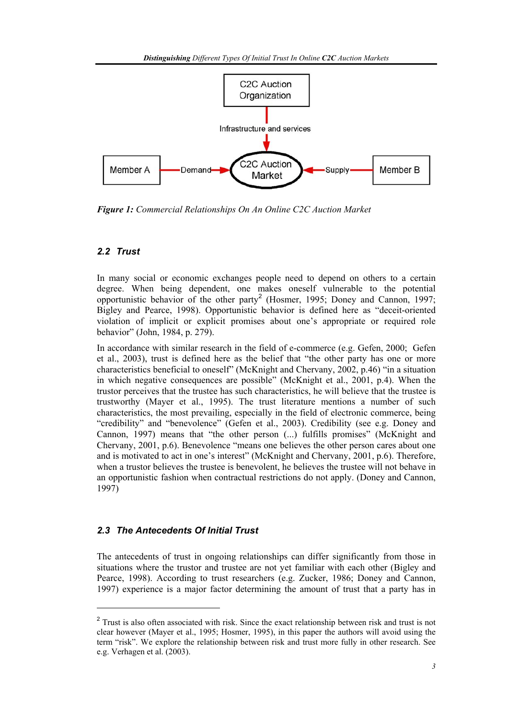

*Figure 1: Commercial Relationships On An Online C2C Auction Market* 

# *2.2 Trust*

l

In many social or economic exchanges people need to depend on others to a certain degree. When being dependent, one makes oneself vulnerable to the potential opportunistic behavior of the other party<sup>2</sup> (Hosmer, 1995; Doney and Cannon, 1997; Bigley and Pearce, 1998). Opportunistic behavior is defined here as "deceit-oriented violation of implicit or explicit promises about one's appropriate or required role behavior" (John, 1984, p. 279).

In accordance with similar research in the field of e-commerce (e.g. Gefen, 2000; Gefen et al., 2003), trust is defined here as the belief that "the other party has one or more characteristics beneficial to oneself" (McKnight and Chervany, 2002, p.46) "in a situation in which negative consequences are possible" (McKnight et al., 2001, p.4). When the trustor perceives that the trustee has such characteristics, he will believe that the trustee is trustworthy (Mayer et al., 1995). The trust literature mentions a number of such characteristics, the most prevailing, especially in the field of electronic commerce, being "credibility" and "benevolence" (Gefen et al., 2003). Credibility (see e.g. Doney and Cannon, 1997) means that "the other person (...) fulfills promises" (McKnight and Chervany, 2001, p.6). Benevolence "means one believes the other person cares about one and is motivated to act in one's interest" (McKnight and Chervany, 2001, p.6). Therefore, when a trustor believes the trustee is benevolent, he believes the trustee will not behave in an opportunistic fashion when contractual restrictions do not apply. (Doney and Cannon, 1997)

# *2.3 The Antecedents Of Initial Trust*

The antecedents of trust in ongoing relationships can differ significantly from those in situations where the trustor and trustee are not yet familiar with each other (Bigley and Pearce, 1998). According to trust researchers (e.g. Zucker, 1986; Doney and Cannon, 1997) experience is a major factor determining the amount of trust that a party has in

<sup>&</sup>lt;sup>2</sup> Trust is also often associated with risk. Since the exact relationship between risk and trust is not clear however (Mayer et al., 1995; Hosmer, 1995), in this paper the authors will avoid using the term "risk". We explore the relationship between risk and trust more fully in other research. See e.g. Verhagen et al. (2003).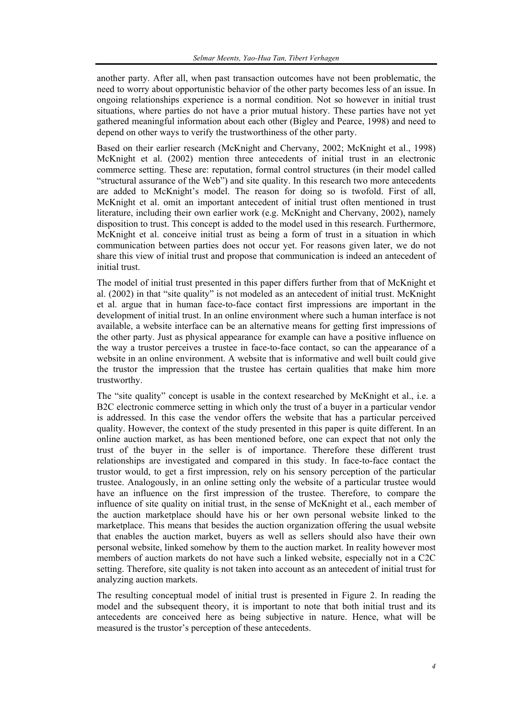another party. After all, when past transaction outcomes have not been problematic, the need to worry about opportunistic behavior of the other party becomes less of an issue. In ongoing relationships experience is a normal condition. Not so however in initial trust situations, where parties do not have a prior mutual history. These parties have not yet gathered meaningful information about each other (Bigley and Pearce, 1998) and need to depend on other ways to verify the trustworthiness of the other party.

Based on their earlier research (McKnight and Chervany, 2002; McKnight et al., 1998) McKnight et al. (2002) mention three antecedents of initial trust in an electronic commerce setting. These are: reputation, formal control structures (in their model called "structural assurance of the Web") and site quality. In this research two more antecedents are added to McKnight's model. The reason for doing so is twofold. First of all, McKnight et al. omit an important antecedent of initial trust often mentioned in trust literature, including their own earlier work (e.g. McKnight and Chervany, 2002), namely disposition to trust. This concept is added to the model used in this research. Furthermore, McKnight et al. conceive initial trust as being a form of trust in a situation in which communication between parties does not occur yet. For reasons given later, we do not share this view of initial trust and propose that communication is indeed an antecedent of initial trust.

The model of initial trust presented in this paper differs further from that of McKnight et al. (2002) in that "site quality" is not modeled as an antecedent of initial trust. McKnight et al. argue that in human face-to-face contact first impressions are important in the development of initial trust. In an online environment where such a human interface is not available, a website interface can be an alternative means for getting first impressions of the other party. Just as physical appearance for example can have a positive influence on the way a trustor perceives a trustee in face-to-face contact, so can the appearance of a website in an online environment. A website that is informative and well built could give the trustor the impression that the trustee has certain qualities that make him more trustworthy.

The "site quality" concept is usable in the context researched by McKnight et al., i.e. a B2C electronic commerce setting in which only the trust of a buyer in a particular vendor is addressed. In this case the vendor offers the website that has a particular perceived quality. However, the context of the study presented in this paper is quite different. In an online auction market, as has been mentioned before, one can expect that not only the trust of the buyer in the seller is of importance. Therefore these different trust relationships are investigated and compared in this study. In face-to-face contact the trustor would, to get a first impression, rely on his sensory perception of the particular trustee. Analogously, in an online setting only the website of a particular trustee would have an influence on the first impression of the trustee. Therefore, to compare the influence of site quality on initial trust, in the sense of McKnight et al., each member of the auction marketplace should have his or her own personal website linked to the marketplace. This means that besides the auction organization offering the usual website that enables the auction market, buyers as well as sellers should also have their own personal website, linked somehow by them to the auction market. In reality however most members of auction markets do not have such a linked website, especially not in a C2C setting. Therefore, site quality is not taken into account as an antecedent of initial trust for analyzing auction markets.

The resulting conceptual model of initial trust is presented in Figure 2. In reading the model and the subsequent theory, it is important to note that both initial trust and its antecedents are conceived here as being subjective in nature. Hence, what will be measured is the trustor's perception of these antecedents.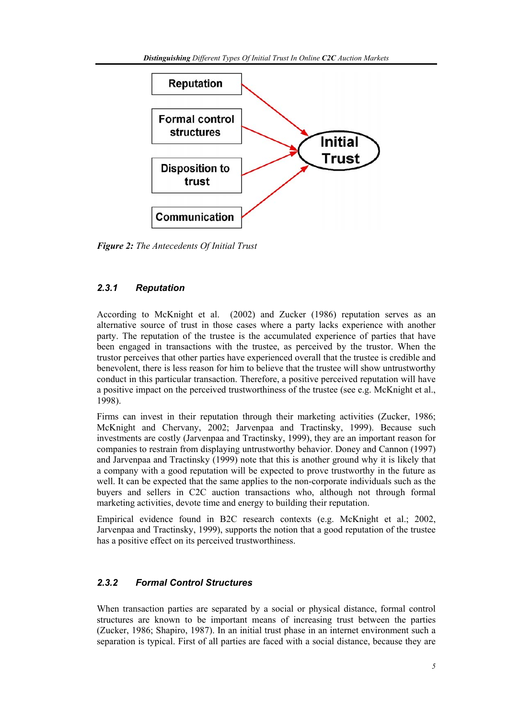

*Figure 2: The Antecedents Of Initial Trust* 

# *2.3.1 Reputation*

According to McKnight et al. (2002) and Zucker (1986) reputation serves as an alternative source of trust in those cases where a party lacks experience with another party. The reputation of the trustee is the accumulated experience of parties that have been engaged in transactions with the trustee, as perceived by the trustor. When the trustor perceives that other parties have experienced overall that the trustee is credible and benevolent, there is less reason for him to believe that the trustee will show untrustworthy conduct in this particular transaction. Therefore, a positive perceived reputation will have a positive impact on the perceived trustworthiness of the trustee (see e.g. McKnight et al., 1998).

Firms can invest in their reputation through their marketing activities (Zucker, 1986; McKnight and Chervany, 2002; Jarvenpaa and Tractinsky, 1999). Because such investments are costly (Jarvenpaa and Tractinsky, 1999), they are an important reason for companies to restrain from displaying untrustworthy behavior. Doney and Cannon (1997) and Jarvenpaa and Tractinsky (1999) note that this is another ground why it is likely that a company with a good reputation will be expected to prove trustworthy in the future as well. It can be expected that the same applies to the non-corporate individuals such as the buyers and sellers in C2C auction transactions who, although not through formal marketing activities, devote time and energy to building their reputation.

Empirical evidence found in B2C research contexts (e.g. McKnight et al.; 2002, Jarvenpaa and Tractinsky, 1999), supports the notion that a good reputation of the trustee has a positive effect on its perceived trustworthiness.

# *2.3.2 Formal Control Structures*

When transaction parties are separated by a social or physical distance, formal control structures are known to be important means of increasing trust between the parties (Zucker, 1986; Shapiro, 1987). In an initial trust phase in an internet environment such a separation is typical. First of all parties are faced with a social distance, because they are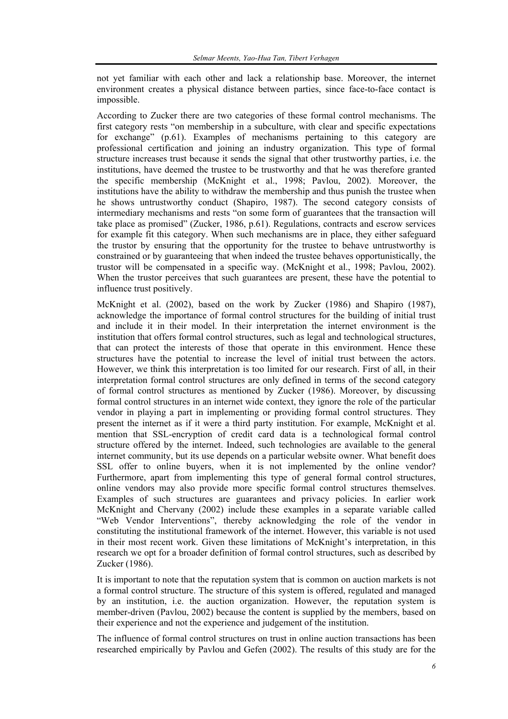not yet familiar with each other and lack a relationship base. Moreover, the internet environment creates a physical distance between parties, since face-to-face contact is impossible.

According to Zucker there are two categories of these formal control mechanisms. The first category rests "on membership in a subculture, with clear and specific expectations for exchange" (p.61). Examples of mechanisms pertaining to this category are professional certification and joining an industry organization. This type of formal structure increases trust because it sends the signal that other trustworthy parties, i.e. the institutions, have deemed the trustee to be trustworthy and that he was therefore granted the specific membership (McKnight et al., 1998; Pavlou, 2002). Moreover, the institutions have the ability to withdraw the membership and thus punish the trustee when he shows untrustworthy conduct (Shapiro, 1987). The second category consists of intermediary mechanisms and rests "on some form of guarantees that the transaction will take place as promised" (Zucker, 1986, p.61). Regulations, contracts and escrow services for example fit this category. When such mechanisms are in place, they either safeguard the trustor by ensuring that the opportunity for the trustee to behave untrustworthy is constrained or by guaranteeing that when indeed the trustee behaves opportunistically, the trustor will be compensated in a specific way. (McKnight et al., 1998; Pavlou, 2002). When the trustor perceives that such guarantees are present, these have the potential to influence trust positively.

McKnight et al. (2002), based on the work by Zucker (1986) and Shapiro (1987), acknowledge the importance of formal control structures for the building of initial trust and include it in their model. In their interpretation the internet environment is the institution that offers formal control structures, such as legal and technological structures, that can protect the interests of those that operate in this environment. Hence these structures have the potential to increase the level of initial trust between the actors. However, we think this interpretation is too limited for our research. First of all, in their interpretation formal control structures are only defined in terms of the second category of formal control structures as mentioned by Zucker (1986). Moreover, by discussing formal control structures in an internet wide context, they ignore the role of the particular vendor in playing a part in implementing or providing formal control structures. They present the internet as if it were a third party institution. For example, McKnight et al. mention that SSL-encryption of credit card data is a technological formal control structure offered by the internet. Indeed, such technologies are available to the general internet community, but its use depends on a particular website owner. What benefit does SSL offer to online buyers, when it is not implemented by the online vendor? Furthermore, apart from implementing this type of general formal control structures, online vendors may also provide more specific formal control structures themselves. Examples of such structures are guarantees and privacy policies. In earlier work McKnight and Chervany (2002) include these examples in a separate variable called "Web Vendor Interventions", thereby acknowledging the role of the vendor in constituting the institutional framework of the internet. However, this variable is not used in their most recent work. Given these limitations of McKnight's interpretation, in this research we opt for a broader definition of formal control structures, such as described by Zucker (1986).

It is important to note that the reputation system that is common on auction markets is not a formal control structure. The structure of this system is offered, regulated and managed by an institution, i.e. the auction organization. However, the reputation system is member-driven (Pavlou, 2002) because the content is supplied by the members, based on their experience and not the experience and judgement of the institution.

The influence of formal control structures on trust in online auction transactions has been researched empirically by Pavlou and Gefen (2002). The results of this study are for the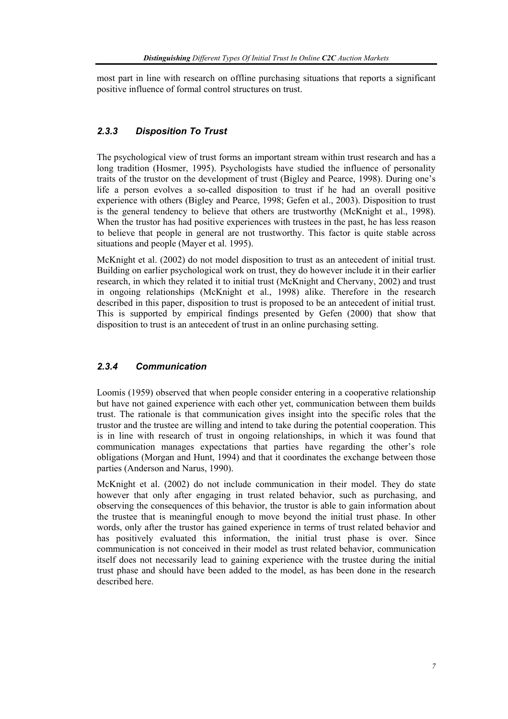most part in line with research on offline purchasing situations that reports a significant positive influence of formal control structures on trust.

## *2.3.3 Disposition To Trust*

The psychological view of trust forms an important stream within trust research and has a long tradition (Hosmer, 1995). Psychologists have studied the influence of personality traits of the trustor on the development of trust (Bigley and Pearce, 1998). During one's life a person evolves a so-called disposition to trust if he had an overall positive experience with others (Bigley and Pearce, 1998; Gefen et al., 2003). Disposition to trust is the general tendency to believe that others are trustworthy (McKnight et al., 1998). When the trustor has had positive experiences with trustees in the past, he has less reason to believe that people in general are not trustworthy. This factor is quite stable across situations and people (Mayer et al. 1995).

McKnight et al. (2002) do not model disposition to trust as an antecedent of initial trust. Building on earlier psychological work on trust, they do however include it in their earlier research, in which they related it to initial trust (McKnight and Chervany, 2002) and trust in ongoing relationships (McKnight et al., 1998) alike. Therefore in the research described in this paper, disposition to trust is proposed to be an antecedent of initial trust. This is supported by empirical findings presented by Gefen (2000) that show that disposition to trust is an antecedent of trust in an online purchasing setting.

## *2.3.4 Communication*

Loomis (1959) observed that when people consider entering in a cooperative relationship but have not gained experience with each other yet, communication between them builds trust. The rationale is that communication gives insight into the specific roles that the trustor and the trustee are willing and intend to take during the potential cooperation. This is in line with research of trust in ongoing relationships, in which it was found that communication manages expectations that parties have regarding the other's role obligations (Morgan and Hunt, 1994) and that it coordinates the exchange between those parties (Anderson and Narus, 1990).

McKnight et al. (2002) do not include communication in their model. They do state however that only after engaging in trust related behavior, such as purchasing, and observing the consequences of this behavior, the trustor is able to gain information about the trustee that is meaningful enough to move beyond the initial trust phase. In other words, only after the trustor has gained experience in terms of trust related behavior and has positively evaluated this information, the initial trust phase is over. Since communication is not conceived in their model as trust related behavior, communication itself does not necessarily lead to gaining experience with the trustee during the initial trust phase and should have been added to the model, as has been done in the research described here.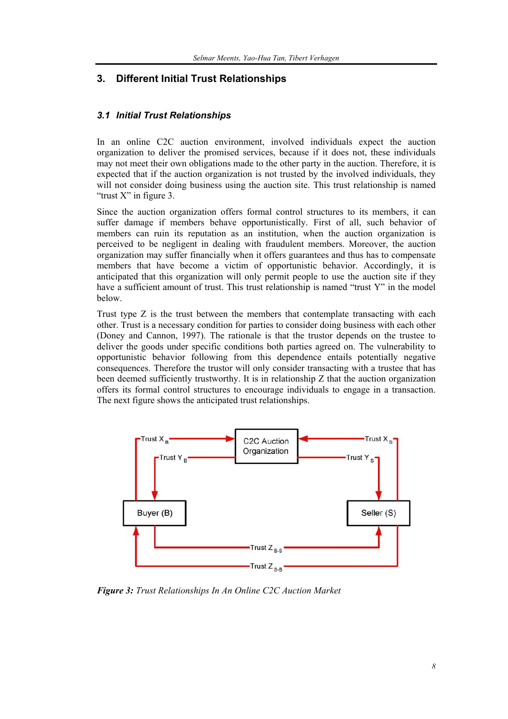# **3. Different Initial Trust Relationships**

#### *3.1 Initial Trust Relationships*

In an online C2C auction environment, involved individuals expect the auction organization to deliver the promised services, because if it does not, these individuals may not meet their own obligations made to the other party in the auction. Therefore, it is expected that if the auction organization is not trusted by the involved individuals, they will not consider doing business using the auction site. This trust relationship is named "trust X" in figure 3.

Since the auction organization offers formal control structures to its members, it can suffer damage if members behave opportunistically. First of all, such behavior of members can ruin its reputation as an institution, when the auction organization is perceived to be negligent in dealing with fraudulent members. Moreover, the auction organization may suffer financially when it offers guarantees and thus has to compensate members that have become a victim of opportunistic behavior. Accordingly, it is anticipated that this organization will only permit people to use the auction site if they have a sufficient amount of trust. This trust relationship is named "trust Y" in the model below.

Trust type Z is the trust between the members that contemplate transacting with each other. Trust is a necessary condition for parties to consider doing business with each other (Doney and Cannon, 1997). The rationale is that the trustor depends on the trustee to deliver the goods under specific conditions both parties agreed on. The vulnerability to opportunistic behavior following from this dependence entails potentially negative consequences. Therefore the trustor will only consider transacting with a trustee that has been deemed sufficiently trustworthy. It is in relationship Z that the auction organization offers its formal control structures to encourage individuals to engage in a transaction. The next figure shows the anticipated trust relationships.



*Figure 3: Trust Relationships In An Online C2C Auction Market*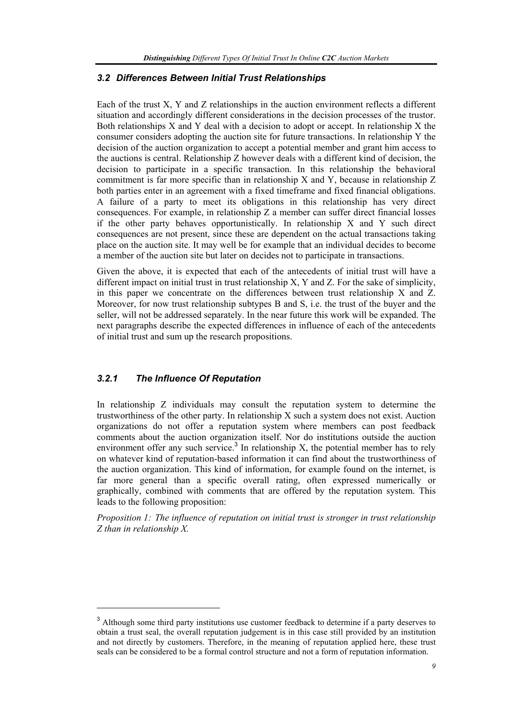## *3.2 Differences Between Initial Trust Relationships*

Each of the trust X, Y and Z relationships in the auction environment reflects a different situation and accordingly different considerations in the decision processes of the trustor. Both relationships X and Y deal with a decision to adopt or accept. In relationship X the consumer considers adopting the auction site for future transactions. In relationship Y the decision of the auction organization to accept a potential member and grant him access to the auctions is central. Relationship Z however deals with a different kind of decision, the decision to participate in a specific transaction. In this relationship the behavioral commitment is far more specific than in relationship X and Y, because in relationship Z both parties enter in an agreement with a fixed timeframe and fixed financial obligations. A failure of a party to meet its obligations in this relationship has very direct consequences. For example, in relationship Z a member can suffer direct financial losses if the other party behaves opportunistically. In relationship X and Y such direct consequences are not present, since these are dependent on the actual transactions taking place on the auction site. It may well be for example that an individual decides to become a member of the auction site but later on decides not to participate in transactions.

Given the above, it is expected that each of the antecedents of initial trust will have a different impact on initial trust in trust relationship X, Y and Z. For the sake of simplicity, in this paper we concentrate on the differences between trust relationship X and Z. Moreover, for now trust relationship subtypes B and S, i.e. the trust of the buyer and the seller, will not be addressed separately. In the near future this work will be expanded. The next paragraphs describe the expected differences in influence of each of the antecedents of initial trust and sum up the research propositions.

## *3.2.1 The Influence Of Reputation*

l

In relationship Z individuals may consult the reputation system to determine the trustworthiness of the other party. In relationship X such a system does not exist. Auction organizations do not offer a reputation system where members can post feedback comments about the auction organization itself. Nor do institutions outside the auction environment offer any such service.<sup>3</sup> In relationship X, the potential member has to rely on whatever kind of reputation-based information it can find about the trustworthiness of the auction organization. This kind of information, for example found on the internet, is far more general than a specific overall rating, often expressed numerically or graphically, combined with comments that are offered by the reputation system. This leads to the following proposition:

*Proposition 1: The influence of reputation on initial trust is stronger in trust relationship Z than in relationship X.* 

<sup>&</sup>lt;sup>3</sup> Although some third party institutions use customer feedback to determine if a party deserves to obtain a trust seal, the overall reputation judgement is in this case still provided by an institution and not directly by customers. Therefore, in the meaning of reputation applied here, these trust seals can be considered to be a formal control structure and not a form of reputation information.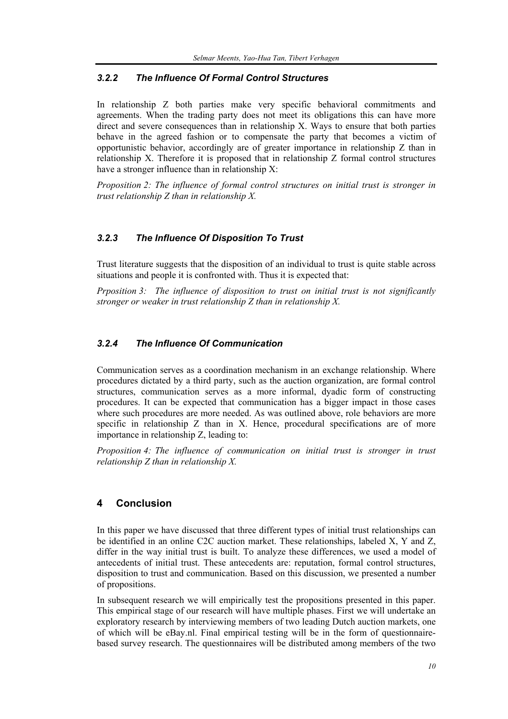## *3.2.2 The Influence Of Formal Control Structures*

In relationship Z both parties make very specific behavioral commitments and agreements. When the trading party does not meet its obligations this can have more direct and severe consequences than in relationship X. Ways to ensure that both parties behave in the agreed fashion or to compensate the party that becomes a victim of opportunistic behavior, accordingly are of greater importance in relationship Z than in relationship X. Therefore it is proposed that in relationship Z formal control structures have a stronger influence than in relationship X:

*Proposition 2: The influence of formal control structures on initial trust is stronger in trust relationship Z than in relationship X.* 

## *3.2.3 The Influence Of Disposition To Trust*

Trust literature suggests that the disposition of an individual to trust is quite stable across situations and people it is confronted with. Thus it is expected that:

*Prposition 3: The influence of disposition to trust on initial trust is not significantly stronger or weaker in trust relationship Z than in relationship X.* 

# *3.2.4 The Influence Of Communication*

Communication serves as a coordination mechanism in an exchange relationship. Where procedures dictated by a third party, such as the auction organization, are formal control structures, communication serves as a more informal, dyadic form of constructing procedures. It can be expected that communication has a bigger impact in those cases where such procedures are more needed. As was outlined above, role behaviors are more specific in relationship Z than in X. Hence, procedural specifications are of more importance in relationship Z, leading to:

*Proposition 4: The influence of communication on initial trust is stronger in trust relationship Z than in relationship X.* 

# **4 Conclusion**

In this paper we have discussed that three different types of initial trust relationships can be identified in an online C2C auction market. These relationships, labeled X, Y and Z, differ in the way initial trust is built. To analyze these differences, we used a model of antecedents of initial trust. These antecedents are: reputation, formal control structures, disposition to trust and communication. Based on this discussion, we presented a number of propositions.

In subsequent research we will empirically test the propositions presented in this paper. This empirical stage of our research will have multiple phases. First we will undertake an exploratory research by interviewing members of two leading Dutch auction markets, one of which will be eBay.nl. Final empirical testing will be in the form of questionnairebased survey research. The questionnaires will be distributed among members of the two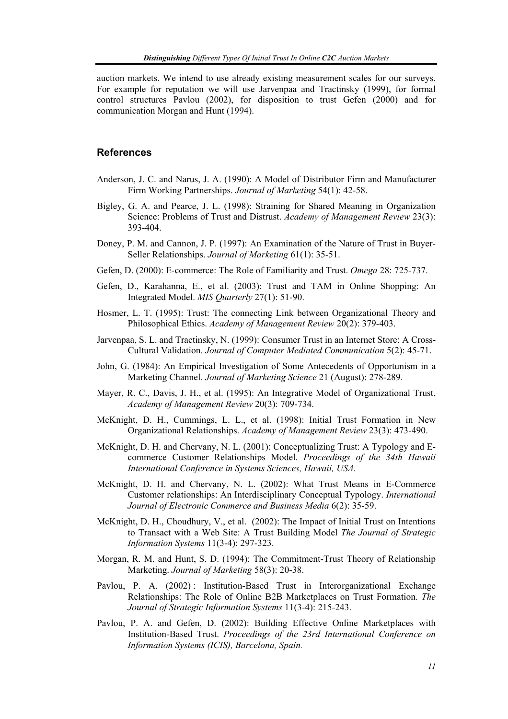auction markets. We intend to use already existing measurement scales for our surveys. For example for reputation we will use Jarvenpaa and Tractinsky (1999), for formal control structures Pavlou (2002), for disposition to trust Gefen (2000) and for communication Morgan and Hunt (1994).

#### **References**

- Anderson, J. C. and Narus, J. A. (1990): A Model of Distributor Firm and Manufacturer Firm Working Partnerships. *Journal of Marketing* 54(1): 42-58.
- Bigley, G. A. and Pearce, J. L. (1998): Straining for Shared Meaning in Organization Science: Problems of Trust and Distrust. *Academy of Management Review* 23(3): 393-404.
- Doney, P. M. and Cannon, J. P. (1997): An Examination of the Nature of Trust in Buyer-Seller Relationships. *Journal of Marketing* 61(1): 35-51.
- Gefen, D. (2000): E-commerce: The Role of Familiarity and Trust. *Omega* 28: 725-737.
- Gefen, D., Karahanna, E., et al. (2003): Trust and TAM in Online Shopping: An Integrated Model. *MIS Quarterly* 27(1): 51-90.
- Hosmer, L. T. (1995): Trust: The connecting Link between Organizational Theory and Philosophical Ethics. *Academy of Management Review* 20(2): 379-403.
- Jarvenpaa, S. L. and Tractinsky, N. (1999): Consumer Trust in an Internet Store: A Cross-Cultural Validation. *Journal of Computer Mediated Communication* 5(2): 45-71.
- John, G. (1984): An Empirical Investigation of Some Antecedents of Opportunism in a Marketing Channel. *Journal of Marketing Science* 21 (August): 278-289.
- Mayer, R. C., Davis, J. H., et al. (1995): An Integrative Model of Organizational Trust. *Academy of Management Review* 20(3): 709-734.
- McKnight, D. H., Cummings, L. L., et al. (1998): Initial Trust Formation in New Organizational Relationships. *Academy of Management Review* 23(3): 473-490.
- McKnight, D. H. and Chervany, N. L. (2001): Conceptualizing Trust: A Typology and Ecommerce Customer Relationships Model. *Proceedings of the 34th Hawaii International Conference in Systems Sciences, Hawaii, USA.*
- McKnight, D. H. and Chervany, N. L. (2002): What Trust Means in E-Commerce Customer relationships: An Interdisciplinary Conceptual Typology. *International Journal of Electronic Commerce and Business Media* 6(2): 35-59.
- McKnight, D. H., Choudhury, V., et al. (2002): The Impact of Initial Trust on Intentions to Transact with a Web Site: A Trust Building Model *The Journal of Strategic Information Systems* 11(3-4): 297-323.
- Morgan, R. M. and Hunt, S. D. (1994): The Commitment-Trust Theory of Relationship Marketing. *Journal of Marketing* 58(3): 20-38.
- Pavlou, P. A. (2002): Institution-Based Trust in Interorganizational Exchange Relationships: The Role of Online B2B Marketplaces on Trust Formation. *The Journal of Strategic Information Systems* 11(3-4): 215-243.
- Pavlou, P. A. and Gefen, D. (2002): Building Effective Online Marketplaces with Institution-Based Trust. *Proceedings of the 23rd International Conference on Information Systems (ICIS), Barcelona, Spain.*